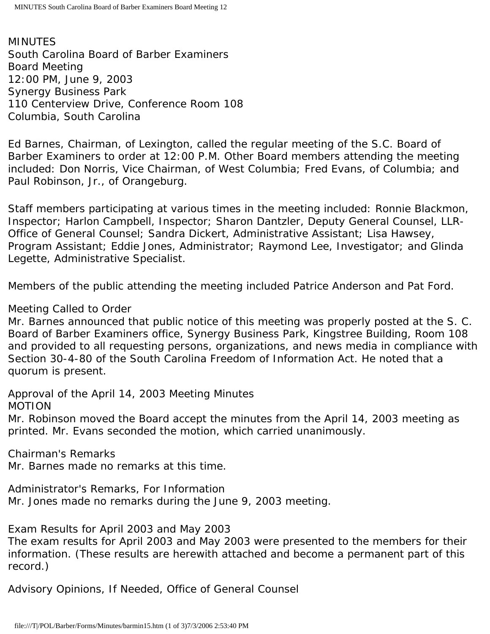MINUTES South Carolina Board of Barber Examiners Board Meeting 12:00 PM, June 9, 2003 Synergy Business Park 110 Centerview Drive, Conference Room 108 Columbia, South Carolina

Ed Barnes, Chairman, of Lexington, called the regular meeting of the S.C. Board of Barber Examiners to order at 12:00 P.M. Other Board members attending the meeting included: Don Norris, Vice Chairman, of West Columbia; Fred Evans, of Columbia; and Paul Robinson, Jr., of Orangeburg.

Staff members participating at various times in the meeting included: Ronnie Blackmon, Inspector; Harlon Campbell, Inspector; Sharon Dantzler, Deputy General Counsel, LLR-Office of General Counsel; Sandra Dickert, Administrative Assistant; Lisa Hawsey, Program Assistant; Eddie Jones, Administrator; Raymond Lee, Investigator; and Glinda Legette, Administrative Specialist.

Members of the public attending the meeting included Patrice Anderson and Pat Ford.

# Meeting Called to Order

Mr. Barnes announced that public notice of this meeting was properly posted at the S. C. Board of Barber Examiners office, Synergy Business Park, Kingstree Building, Room 108 and provided to all requesting persons, organizations, and news media in compliance with Section 30-4-80 of the South Carolina Freedom of Information Act. He noted that a quorum is present.

Approval of the April 14, 2003 Meeting Minutes MOTION

Mr. Robinson moved the Board accept the minutes from the April 14, 2003 meeting as printed. Mr. Evans seconded the motion, which carried unanimously.

Chairman's Remarks

Mr. Barnes made no remarks at this time.

Administrator's Remarks, For Information Mr. Jones made no remarks during the June 9, 2003 meeting.

Exam Results for April 2003 and May 2003

The exam results for April 2003 and May 2003 were presented to the members for their information. (These results are herewith attached and become a permanent part of this record.)

Advisory Opinions, If Needed, Office of General Counsel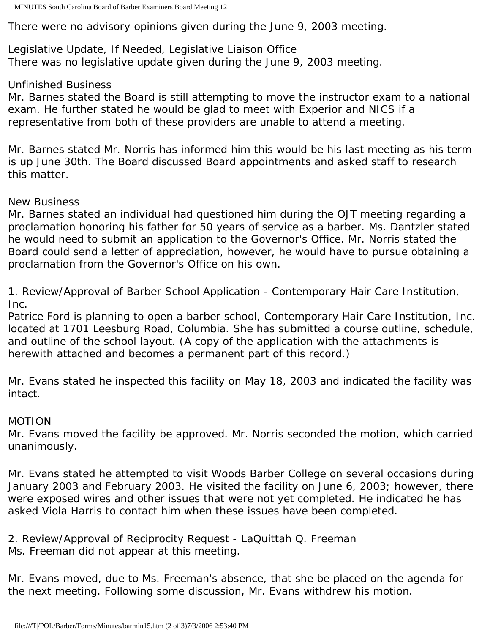There were no advisory opinions given during the June 9, 2003 meeting.

Legislative Update, If Needed, Legislative Liaison Office There was no legislative update given during the June 9, 2003 meeting.

## Unfinished Business

Mr. Barnes stated the Board is still attempting to move the instructor exam to a national exam. He further stated he would be glad to meet with Experior and NICS if a representative from both of these providers are unable to attend a meeting.

Mr. Barnes stated Mr. Norris has informed him this would be his last meeting as his term is up June 30th. The Board discussed Board appointments and asked staff to research this matter.

## New Business

Mr. Barnes stated an individual had questioned him during the OJT meeting regarding a proclamation honoring his father for 50 years of service as a barber. Ms. Dantzler stated he would need to submit an application to the Governor's Office. Mr. Norris stated the Board could send a letter of appreciation, however, he would have to pursue obtaining a proclamation from the Governor's Office on his own.

1. Review/Approval of Barber School Application - Contemporary Hair Care Institution, Inc.

Patrice Ford is planning to open a barber school, Contemporary Hair Care Institution, Inc. located at 1701 Leesburg Road, Columbia. She has submitted a course outline, schedule, and outline of the school layout. (A copy of the application with the attachments is herewith attached and becomes a permanent part of this record.)

Mr. Evans stated he inspected this facility on May 18, 2003 and indicated the facility was intact.

# MOTION

Mr. Evans moved the facility be approved. Mr. Norris seconded the motion, which carried unanimously.

Mr. Evans stated he attempted to visit Woods Barber College on several occasions during January 2003 and February 2003. He visited the facility on June 6, 2003; however, there were exposed wires and other issues that were not yet completed. He indicated he has asked Viola Harris to contact him when these issues have been completed.

2. Review/Approval of Reciprocity Request - LaQuittah Q. Freeman Ms. Freeman did not appear at this meeting.

Mr. Evans moved, due to Ms. Freeman's absence, that she be placed on the agenda for the next meeting. Following some discussion, Mr. Evans withdrew his motion.